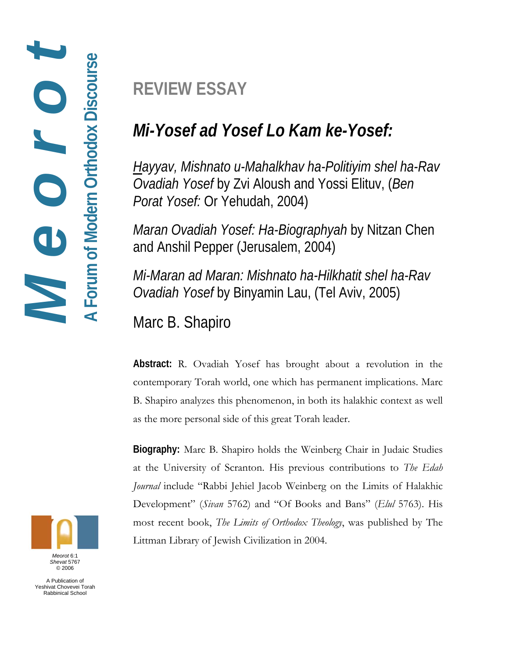**REVIEW ESSAY** 

# *Mi-Yosef ad Yosef Lo Kam ke-Yosef:*

*Hayyav, Mishnato u-Mahalkhav ha-Politiyim shel ha-Rav Ovadiah Yosef* by Zvi Aloush and Yossi Elituv, (*Ben Porat Yosef:* Or Yehudah, 2004)

*Maran Ovadiah Yosef: Ha-Biographyah* by Nitzan Chen and Anshil Pepper (Jerusalem, 2004)

*Mi-Maran ad Maran: Mishnato ha-Hilkhatit shel ha-Rav Ovadiah Yosef* by Binyamin Lau, (Tel Aviv, 2005)

Marc B. Shapiro

**Abstract:** R. Ovadiah Yosef has brought about a revolution in the contemporary Torah world, one which has permanent implications. Marc B. Shapiro analyzes this phenomenon, in both its halakhic context as well as the more personal side of this great Torah leader.

**Biography:** Marc B. Shapiro holds the Weinberg Chair in Judaic Studies at the University of Scranton. His previous contributions to *The Edah Journal* include "Rabbi Jehiel Jacob Weinberg on the Limits of Halakhic Development" (*Sivan* 5762) and "Of Books and Bans" (*Elul* 5763). His most recent book, *The Limits of Orthodox Theology*, was published by The Littman Library of Jewish Civilization in 2004.



A Publication of Yeshivat Chovevei Torah Rabbinical School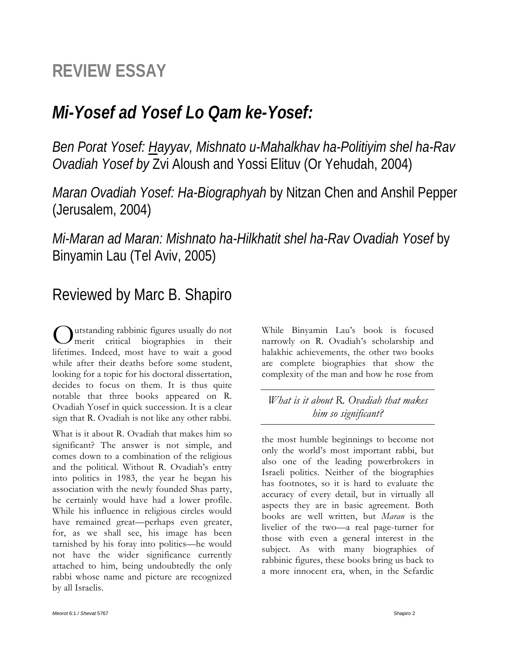## **REVIEW ESSAY**

## *Mi-Yosef ad Yosef Lo Qam ke-Yosef:*

*Ben Porat Yosef: Hayyav, Mishnato u-Mahalkhav ha-Politiyim shel ha-Rav Ovadiah Yosef by* Zvi Aloush and Yossi Elituv (Or Yehudah, 2004)

*Maran Ovadiah Yosef: Ha-Biographyah* by Nitzan Chen and Anshil Pepper (Jerusalem, 2004)

*Mi-Maran ad Maran: Mishnato ha-Hilkhatit shel ha-Rav Ovadiah Yosef* by Binyamin Lau (Tel Aviv, 2005)

### Reviewed by Marc B. Shapiro

utstanding rabbinic figures usually do not Outstanding rabbinic figures usually do not<br>merit critical biographies in their lifetimes. Indeed, most have to wait a good while after their deaths before some student, looking for a topic for his doctoral dissertation, decides to focus on them. It is thus quite notable that three books appeared on R. Ovadiah Yosef in quick succession. It is a clear sign that R. Ovadiah is not like any other rabbi.

What is it about R. Ovadiah that makes him so significant? The answer is not simple, and comes down to a combination of the religious and the political. Without R. Ovadiah's entry into politics in 1983, the year he began his association with the newly founded Shas party, he certainly would have had a lower profile. While his influence in religious circles would have remained great—perhaps even greater, for, as we shall see, his image has been tarnished by his foray into politics—he would not have the wider significance currently attached to him, being undoubtedly the only rabbi whose name and picture are recognized by all Israelis.

While Binyamin Lau's book is focused narrowly on R. Ovadiah's scholarship and halakhic achievements, the other two books are complete biographies that show the complexity of the man and how he rose from

*What is it about R. Ovadiah that makes him so significant?* 

the most humble beginnings to become not only the world's most important rabbi, but also one of the leading powerbrokers in Israeli politics. Neither of the biographies has footnotes, so it is hard to evaluate the accuracy of every detail, but in virtually all aspects they are in basic agreement. Both books are well written, but *Maran* is the livelier of the two—a real page-turner for those with even a general interest in the subject. As with many biographies of rabbinic figures, these books bring us back to a more innocent era, when, in the Sefardic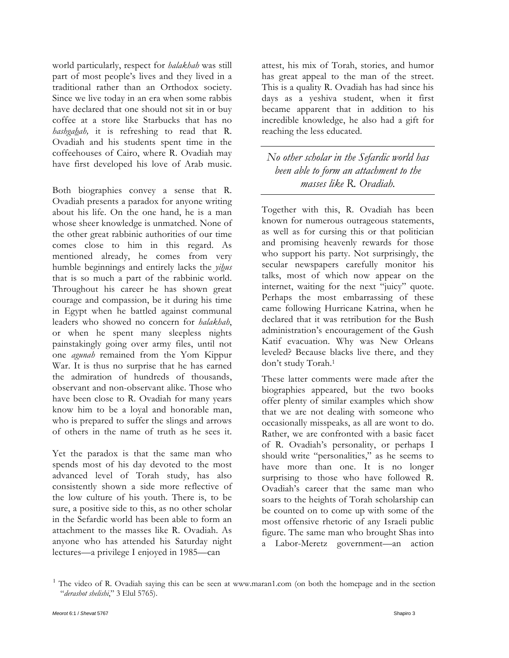world particularly, respect for *halakhah* was still part of most people's lives and they lived in a traditional rather than an Orthodox society. Since we live today in an era when some rabbis have declared that one should not sit in or buy coffee at a store like Starbucks that has no *hashgahah,* it is refreshing to read that R. Ovadiah and his students spent time in the coffeehouses of Cairo, where R. Ovadiah may have first developed his love of Arab music.

Both biographies convey a sense that R. Ovadiah presents a paradox for anyone writing about his life. On the one hand, he is a man whose sheer knowledge is unmatched. None of the other great rabbinic authorities of our time comes close to him in this regard. As mentioned already, he comes from very humble beginnings and entirely lacks the *yihus* that is so much a part of the rabbinic world. Throughout his career he has shown great courage and compassion, be it during his time in Egypt when he battled against communal leaders who showed no concern for *halakhah*, or when he spent many sleepless nights painstakingly going over army files, until not one *agunah* remained from the Yom Kippur War. It is thus no surprise that he has earned the admiration of hundreds of thousands, observant and non-observant alike. Those who have been close to R. Ovadiah for many years know him to be a loyal and honorable man, who is prepared to suffer the slings and arrows of others in the name of truth as he sees it.

Yet the paradox is that the same man who spends most of his day devoted to the most advanced level of Torah study, has also consistently shown a side more reflective of the low culture of his youth. There is, to be sure, a positive side to this, as no other scholar in the Sefardic world has been able to form an attachment to the masses like R. Ovadiah. As anyone who has attended his Saturday night lectures—a privilege I enjoyed in 1985—can

attest, his mix of Torah, stories, and humor has great appeal to the man of the street. This is a quality R. Ovadiah has had since his days as a yeshiva student, when it first became apparent that in addition to his incredible knowledge, he also had a gift for reaching the less educated.

*No other scholar in the Sefardic world has been able to form an attachment to the masses like R. Ovadiah.* 

Together with this, R. Ovadiah has been known for numerous outrageous statements, as well as for cursing this or that politician and promising heavenly rewards for those who support his party. Not surprisingly, the secular newspapers carefully monitor his talks, most of which now appear on the internet, waiting for the next "juicy" quote. Perhaps the most embarrassing of these came following Hurricane Katrina, when he declared that it was retribution for the Bush administration's encouragement of the Gush Katif evacuation. Why was New Orleans leveled? Because blacks live there, and they don't study Torah.1

These latter comments were made after the biographies appeared, but the two books offer plenty of similar examples which show that we are not dealing with someone who occasionally misspeaks, as all are wont to do. Rather, we are confronted with a basic facet of R. Ovadiah's personality, or perhaps I should write "personalities," as he seems to have more than one. It is no longer surprising to those who have followed R. Ovadiah's career that the same man who soars to the heights of Torah scholarship can be counted on to come up with some of the most offensive rhetoric of any Israeli public figure. The same man who brought Shas into a Labor-Meretz government—an action

<sup>&</sup>lt;sup>1</sup> The video of R. Ovadiah saying this can be seen at www.maran1.com (on both the homepage and in the section "*derashot shelishi*," 3 Elul 5765).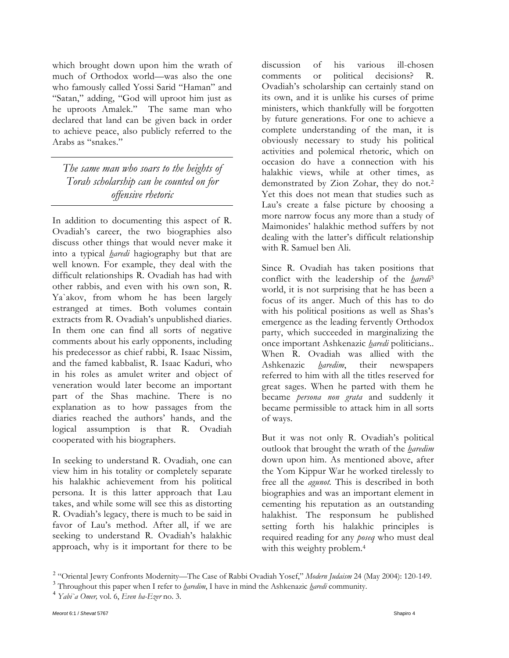which brought down upon him the wrath of much of Orthodox world—was also the one who famously called Yossi Sarid "Haman" and "Satan," adding, "God will uproot him just as he uproots Amalek." The same man who declared that land can be given back in order to achieve peace, also publicly referred to the Arabs as "snakes."

*The same man who soars to the heights of Torah scholarship can be counted on for offensive rhetoric* 

In addition to documenting this aspect of R. Ovadiah's career, the two biographies also discuss other things that would never make it into a typical *haredi* hagiography but that are well known. For example, they deal with the difficult relationships R. Ovadiah has had with other rabbis, and even with his own son, R. Ya`akov, from whom he has been largely estranged at times. Both volumes contain extracts from R. Ovadiah's unpublished diaries. In them one can find all sorts of negative comments about his early opponents, including his predecessor as chief rabbi, R. Isaac Nissim, and the famed kabbalist, R. Isaac Kaduri, who in his roles as amulet writer and object of veneration would later become an important part of the Shas machine. There is no explanation as to how passages from the diaries reached the authors' hands, and the logical assumption is that R. Ovadiah cooperated with his biographers.

In seeking to understand R. Ovadiah, one can view him in his totality or completely separate his halakhic achievement from his political persona. It is this latter approach that Lau takes, and while some will see this as distorting R. Ovadiah's legacy, there is much to be said in favor of Lau's method. After all, if we are seeking to understand R. Ovadiah's halakhic approach, why is it important for there to be

discussion of his various ill-chosen comments or political decisions? R. Ovadiah's scholarship can certainly stand on its own, and it is unlike his curses of prime ministers, which thankfully will be forgotten by future generations. For one to achieve a complete understanding of the man, it is obviously necessary to study his political activities and polemical rhetoric, which on occasion do have a connection with his halakhic views, while at other times, as demonstrated by Zion Zohar, they do not.2 Yet this does not mean that studies such as Lau's create a false picture by choosing a more narrow focus any more than a study of Maimonides' halakhic method suffers by not dealing with the latter's difficult relationship with R. Samuel ben Ali.

Since R. Ovadiah has taken positions that conflict with the leadership of the *haredi*<sup>3</sup> world, it is not surprising that he has been a focus of its anger. Much of this has to do with his political positions as well as Shas's emergence as the leading fervently Orthodox party, which succeeded in marginalizing the once important Ashkenazic *haredi* politicians.. When R. Ovadiah was allied with the Ashkenazic *haredim*, their newspapers referred to him with all the titles reserved for great sages. When he parted with them he became *persona non grata* and suddenly it became permissible to attack him in all sorts of ways.

But it was not only R. Ovadiah's political outlook that brought the wrath of the *haredim* down upon him. As mentioned above, after the Yom Kippur War he worked tirelessly to free all the *agunot.* This is described in both biographies and was an important element in cementing his reputation as an outstanding halakhist. The responsum he published setting forth his halakhic principles is required reading for any *poseq* who must deal with this weighty problem.<sup>4</sup>

<sup>&</sup>lt;sup>2</sup> "Oriental Jewry Confronts Modernity—The Case of Rabbi Ovadiah Yosef," *Modern Judaism* 24 (May 2004): 120-149.

Throughout this paper when I refer to *haredim*, I have in mind the Ashkenazic *haredi* community. <sup>4</sup> *Yabi`a Omer,* vol. 6, *Even ha-Ezer* no. 3.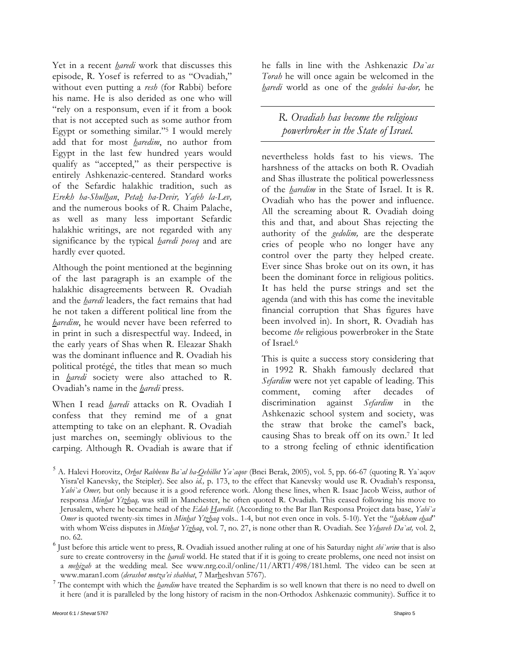Yet in a recent *haredi* work that discusses this episode, R. Yosef is referred to as "Ovadiah," without even putting a *resh* (for Rabbi) before his name. He is also derided as one who will "rely on a responsum, even if it from a book that is not accepted such as some author from Egypt or something similar."5 I would merely add that for most *haredim*, no author from Egypt in the last few hundred years would qualify as "accepted," as their perspective is entirely Ashkenazic-centered. Standard works of the Sefardic halakhic tradition, such as *Erekh ha-Shulhan*, *Petah ha-Devir, Yafeh la-Lev,* and the numerous books of R. Chaim Palache, as well as many less important Sefardic halakhic writings, are not regarded with any significance by the typical *haredi poseq* and are hardly ever quoted.

Although the point mentioned at the beginning of the last paragraph is an example of the halakhic disagreements between R. Ovadiah and the *haredi* leaders, the fact remains that had he not taken a different political line from the *haredim*, he would never have been referred to in print in such a disrespectful way. Indeed, in the early years of Shas when R. Eleazar Shakh was the dominant influence and R. Ovadiah his political protégé, the titles that mean so much in *haredi* society were also attached to R. Ovadiah's name in the *haredi* press.

When I read *haredi* attacks on R. Ovadiah I confess that they remind me of a gnat attempting to take on an elephant. R. Ovadiah just marches on, seemingly oblivious to the carping. Although R. Ovadiah is aware that if he falls in line with the Ashkenazic *Da`as Torah* he will once again be welcomed in the *haredi* world as one of the *gedolei ha-dor,* he

*R. Ovadiah has become the religious powerbroker in the State of Israel.* 

nevertheless holds fast to his views. The harshness of the attacks on both R. Ovadiah and Shas illustrate the political powerlessness of the *haredim* in the State of Israel. It is R. Ovadiah who has the power and influence. All the screaming about R. Ovadiah doing this and that, and about Shas rejecting the authority of the *gedolim,* are the desperate cries of people who no longer have any control over the party they helped create. Ever since Shas broke out on its own, it has been the dominant force in religious politics. It has held the purse strings and set the agenda (and with this has come the inevitable financial corruption that Shas figures have been involved in). In short, R. Ovadiah has become *the* religious powerbroker in the State of Israel.6

This is quite a success story considering that in 1992 R. Shakh famously declared that *Sefardim* were not yet capable of leading. This comment, coming after decades of discrimination against *Sefardim* in the Ashkenazic school system and society, was the straw that broke the camel's back, causing Shas to break off on its own.7 It led to a strong feeling of ethnic identification

sure to create controversy in the *haredi* world. He stated that if it is going to create problems, one need not insist on a *mehizah* at the wedding meal. See www.nrg.co.il/online/11/ART1/498/181.html. The video can be seen at www.maran1.com (derashot motza'ei shabbat, 7 Marheshvan 5767).

<sup>7</sup> The contempt with which the *haredim* have treated the Sephardim is so well known that there is no need to dwell on it here (and it is paralleled by the long history of racism in the non-Orthodox Ashkenazic community). Suffice it to

<sup>5</sup> A. Halevi Horovitz, *Orhot Rabbenu Ba`al ha-Qehillot Ya`aqov* (Bnei Berak, 2005), vol. 5, pp. 66-67 (quoting R. Ya`aqov Yisra'el Kanevsky, the Steipler). See also *id.,* p. 173, to the effect that Kanevsky would use R. Ovadiah's responsa, *Yabi`a Omer,* but only because it is a good reference work. Along these lines, when R. Isaac Jacob Weiss, author of responsa *Minhat Ytzhaq,* was still in Manchester, he often quoted R. Ovadiah. This ceased following his move to Jerusalem, where he became head of the *Edah Haredit.* (According to the Bar Ilan Responsa Project data base, *Yabi`a Omer* is quoted twenty-six times in *Minhat Ytzhaq* vols.. 1-4, but not even once in vols. 5-10). Yet the "*hakham ehad*" with whom Weiss disputes in *Minhat Yizhaq*, vol. 7, no. 27, is none other than R. Ovadiah. See *Yehaveh Da`at,* vol. 2, no. 62. <sup>6</sup> Just before this article went to press, R. Ovadiah issued another ruling at one of his Saturday night *shi`urim* that is also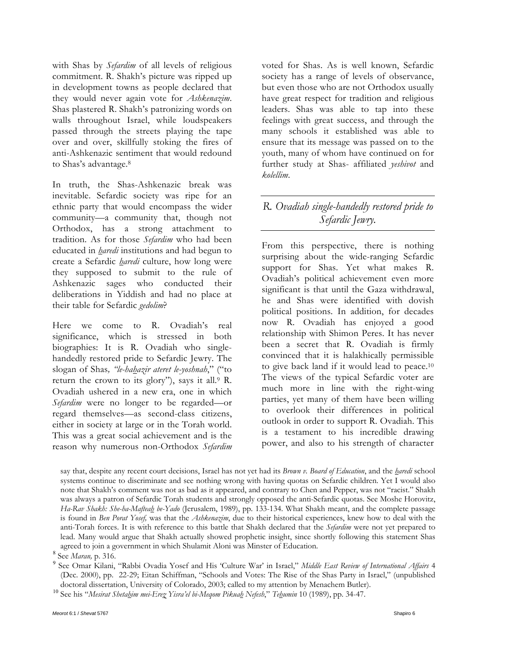with Shas by *Sefardim* of all levels of religious commitment. R. Shakh's picture was ripped up in development towns as people declared that they would never again vote for *Ashkenazim*. Shas plastered R. Shakh's patronizing words on walls throughout Israel, while loudspeakers passed through the streets playing the tape over and over, skillfully stoking the fires of anti-Ashkenazic sentiment that would redound to Shas's advantage.8

In truth, the Shas-Ashkenazic break was inevitable. Sefardic society was ripe for an ethnic party that would encompass the wider community—a community that, though not Orthodox, has a strong attachment to tradition. As for those *Sefardim* who had been educated in *haredi* institutions and had begun to create a Sefardic *haredi* culture, how long were they supposed to submit to the rule of Ashkenazic sages who conducted their deliberations in Yiddish and had no place at their table for Sefardic *gedolim*?

Here we come to R. Ovadiah's real significance, which is stressed in both biographies: It is R. Ovadiah who singlehandedly restored pride to Sefardic Jewry. The slogan of Shas*, "le-hahazir ateret le-yoshnah*," ("to return the crown to its glory"), says it all. $9$  R. Ovadiah ushered in a new era, one in which *Sefardim* were no longer to be regarded—or regard themselves—as second-class citizens, either in society at large or in the Torah world. This was a great social achievement and is the reason why numerous non-Orthodox *Sefardim*  voted for Shas. As is well known, Sefardic society has a range of levels of observance, but even those who are not Orthodox usually have great respect for tradition and religious leaders. Shas was able to tap into these feelings with great success, and through the many schools it established was able to ensure that its message was passed on to the youth, many of whom have continued on for further study at Shas- affiliated *yeshivot* and *kolellim*.

### *R. Ovadiah single-handedly restored pride to Sefardic Jewry.*

From this perspective, there is nothing surprising about the wide-ranging Sefardic support for Shas. Yet what makes R. Ovadiah's political achievement even more significant is that until the Gaza withdrawal, he and Shas were identified with dovish political positions. In addition, for decades now R. Ovadiah has enjoyed a good relationship with Shimon Peres. It has never been a secret that R. Ovadiah is firmly convinced that it is halakhically permissible to give back land if it would lead to peace.10 The views of the typical Sefardic voter are much more in line with the right-wing parties, yet many of them have been willing to overlook their differences in political outlook in order to support R. Ovadiah. This is a testament to his incredible drawing power, and also to his strength of character

say that, despite any recent court decisions, Israel has not yet had its *Brown v. Board of Education*, and the *haredi* school systems continue to discriminate and see nothing wrong with having quotas on Sefardic children. Yet I would also note that Shakh's comment was not as bad as it appeared, and contrary to Chen and Pepper, was not "racist." Shakh was always a patron of Sefardic Torah students and strongly opposed the anti-Sefardic quotas. See Moshe Horovitz, *Ha-Rav Shakh: She-ha-Mafteah be-Yado* (Jerusalem, 1989), pp. 133-134. What Shakh meant, and the complete passage is found in *Ben Porat Yosef,* was that the *Ashkenazim*, due to their historical experiences, knew how to deal with the anti-Torah forces. It is with reference to this battle that Shakh declared that the *Sefardim* were not yet prepared to lead. Many would argue that Shakh actually showed prophetic insight, since shortly following this statement Shas agreed to join a government in which Shulamit Aloni was Minster of Education. <sup>8</sup>

See *Maran,* p. 316. <sup>9</sup>

 See Omar Kilani, "Rabbi Ovadia Yosef and His 'Culture War' in Israel," *Middle East Review of International Affairs* 4 (Dec. 2000), pp. 22-29; Eitan Schiffman, "Schools and Votes: The Rise of the Shas Party in Israel," (unpublished doctoral dissertation, University of Colorado, 2003; called to my attention by Menachem Butler).

<sup>10</sup> See his "Mesirat Sheta<u>h</u>im mei-Erez Yisra'el bi-Meqom Pikuah Nefesh," Tehumin 10 (1989), pp. 34-47.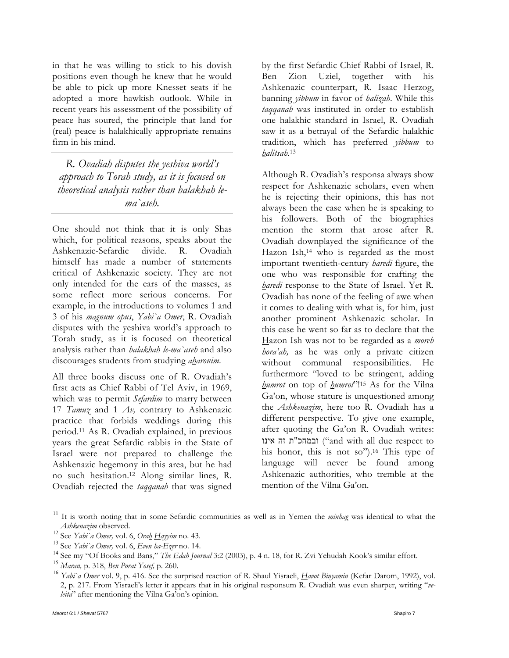in that he was willing to stick to his dovish positions even though he knew that he would be able to pick up more Knesset seats if he adopted a more hawkish outlook. While in recent years his assessment of the possibility of peace has soured, the principle that land for (real) peace is halakhically appropriate remains firm in his mind.

*R. Ovadiah disputes the yeshiva world's approach to Torah study, as it is focused on theoretical analysis rather than halakhah lema`aseh.* 

One should not think that it is only Shas which, for political reasons, speaks about the Ashkenazic-Sefardic divide. R. Ovadiah himself has made a number of statements critical of Ashkenazic society. They are not only intended for the ears of the masses, as some reflect more serious concerns. For example, in the introductions to volumes 1 and 3 of his *magnum opus*, *Yabi`a Omer*, R. Ovadiah disputes with the yeshiva world's approach to Torah study, as it is focused on theoretical analysis rather than *halakhah le-ma`aseh* and also discourages students from studying *aharonim*.

All three books discuss one of R. Ovadiah's first acts as Chief Rabbi of Tel Aviv, in 1969, which was to permit *Sefardim* to marry between 17 *Tamuz* and 1 *Av,* contrary to Ashkenazic practice that forbids weddings during this period.11 As R. Ovadiah explained, in previous years the great Sefardic rabbis in the State of Israel were not prepared to challenge the Ashkenazic hegemony in this area, but he had no such hesitation.12 Along similar lines, R. Ovadiah rejected the *taqqanah* that was signed

by the first Sefardic Chief Rabbi of Israel, R. Ben Zion Uziel, together with his Ashkenazic counterpart, R. Isaac Herzog, banning *yibbum* in favor of *halizah*. While this *taqqanah* was instituted in order to establish one halakhic standard in Israel, R. Ovadiah saw it as a betrayal of the Sefardic halakhic tradition, which has preferred *yibbum* to *halitsah*.13

Although R. Ovadiah's responsa always show respect for Ashkenazic scholars, even when he is rejecting their opinions, this has not always been the case when he is speaking to his followers. Both of the biographies mention the storm that arose after R. Ovadiah downplayed the significance of the Hazon Ish,<sup>14</sup> who is regarded as the most important twentieth-century *haredi* figure, the one who was responsible for crafting the *haredi* response to the State of Israel. Yet R. Ovadiah has none of the feeling of awe when it comes to dealing with what is, for him, just another prominent Ashkenazic scholar. In this case he went so far as to declare that the Hazon Ish was not to be regarded as a *moreh hora'ah,* as he was only a private citizen without communal responsibilities. He furthermore "loved to be stringent, adding *humrot* on top of *humrot*"!15 As for the Vilna Ga'on, whose stature is unquestioned among the *Ashkenazim*, here too R. Ovadiah has a different perspective. To give one example, after quoting the Ga'on R. Ovadiah writes: ובמחכ"ת זה אינו "and with all due respect to his honor, this is not so").<sup>16</sup> This type of language will never be found among Ashkenazic authorities, who tremble at the mention of the Vilna Ga'on.

<sup>&</sup>lt;sup>11</sup> It is worth noting that in some Sefardic communities as well as in Yemen the *minhag* was identical to what the

*Ashkenazim* observed.<br><sup>12</sup> See *Yabi`a Omer*, vol. 6, *Ora<u>b</u> Hayyim* no. 43.<br><sup>13</sup> See *Yabi`a Omer*, vol. 6, *Even ba-Ezer* no. 14.<br><sup>14</sup> See my "Of Books and Bans," *The Edab Journal* 3:2 (2003), p. 4 n. 18, for R. Zvi Y 2, p. 217. From Yisraeli's letter it appears that in his original responsum R. Ovadiah was even sharper, writing "*veleita*" after mentioning the Vilna Ga'on's opinion.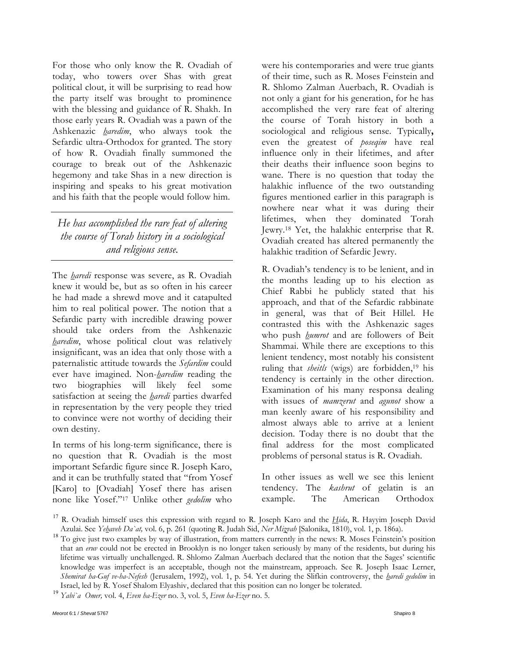For those who only know the R. Ovadiah of today, who towers over Shas with great political clout, it will be surprising to read how the party itself was brought to prominence with the blessing and guidance of R. Shakh. In those early years R. Ovadiah was a pawn of the Ashkenazic *haredim*, who always took the Sefardic ultra-Orthodox for granted. The story of how R. Ovadiah finally summoned the courage to break out of the Ashkenazic hegemony and take Shas in a new direction is inspiring and speaks to his great motivation and his faith that the people would follow him.

#### *He has accomplished the rare feat of altering the course of Torah history in a sociological and religious sense.*

The *haredi* response was severe, as R. Ovadiah knew it would be, but as so often in his career he had made a shrewd move and it catapulted him to real political power. The notion that a Sefardic party with incredible drawing power should take orders from the Ashkenazic *haredim*, whose political clout was relatively insignificant, was an idea that only those with a paternalistic attitude towards the *Sefardim* could ever have imagined. Non-*haredim* reading the two biographies will likely feel some satisfaction at seeing the *haredi* parties dwarfed in representation by the very people they tried to convince were not worthy of deciding their own destiny.

In terms of his long-term significance, there is no question that R. Ovadiah is the most important Sefardic figure since R. Joseph Karo, and it can be truthfully stated that "from Yosef [Karo] to [Ovadiah] Yosef there has arisen none like Yosef."17 Unlike other *gedolim* who were his contemporaries and were true giants of their time, such as R. Moses Feinstein and R. Shlomo Zalman Auerbach, R. Ovadiah is not only a giant for his generation, for he has accomplished the very rare feat of altering the course of Torah history in both a sociological and religious sense. Typically**,**  even the greatest of *poseqim* have real influence only in their lifetimes, and after their deaths their influence soon begins to wane. There is no question that today the halakhic influence of the two outstanding figures mentioned earlier in this paragraph is nowhere near what it was during their lifetimes, when they dominated Torah Jewry.18 Yet, the halakhic enterprise that R. Ovadiah created has altered permanently the halakhic tradition of Sefardic Jewry.

R. Ovadiah's tendency is to be lenient, and in the months leading up to his election as Chief Rabbi he publicly stated that his approach, and that of the Sefardic rabbinate in general, was that of Beit Hillel. He contrasted this with the Ashkenazic sages who push *humrot* and are followers of Beit Shammai. While there are exceptions to this lenient tendency, most notably his consistent ruling that *sheitls* (wigs) are forbidden,<sup>19</sup> his tendency is certainly in the other direction. Examination of his many responsa dealing with issues of *mamzerut* and *agunot* show a man keenly aware of his responsibility and almost always able to arrive at a lenient decision. Today there is no doubt that the final address for the most complicated problems of personal status is R. Ovadiah.

In other issues as well we see this lenient tendency. The *kashrut* of gelatin is an example. The American Orthodox

<sup>&</sup>lt;sup>17</sup> R. Ovadiah himself uses this expression with regard to R. Joseph Karo and the *Hida*, R. Hayyim Joseph David

Azulai. See Yehaveh Da`at, vol. 6, p. 261 (quoting R. Judah Sid, Ner Mizvah [Salonika, 1810), vol. 1, p. 186a).<br><sup>18</sup> To give just two examples by way of illustration, from matters currently in the news: R. Moses Feinstein' that an *eruv* could not be erected in Brooklyn is no longer taken seriously by many of the residents, but during his lifetime was virtually unchallenged. R. Shlomo Zalman Auerbach declared that the notion that the Sages' scientific knowledge was imperfect is an acceptable, though not the mainstream, approach. See R. Joseph Isaac Lerner, *Shemirat ha-Guf ve-ha-Nefesh* (Jerusalem, 1992), vol. 1, p. 54. Yet during the Slifkin controversy, the *haredi gedolim* in Israel, led by R. Yosef Shalom Elyashiv, declared that this position can no longer be tolerated. <sup>19</sup> *Yabi`a Omer,* vol. 4, *Even ha-Ezer* no. 3, vol. 5, *Even ha-Ezer* no. 5.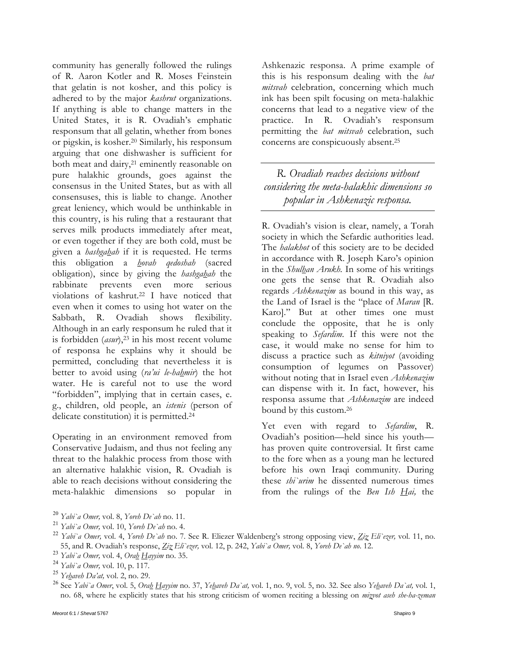community has generally followed the rulings of R. Aaron Kotler and R. Moses Feinstein that gelatin is not kosher, and this policy is adhered to by the major *kashrut* organizations. If anything is able to change matters in the United States, it is R. Ovadiah's emphatic responsum that all gelatin, whether from bones or pigskin, is kosher.20 Similarly, his responsum arguing that one dishwasher is sufficient for both meat and dairy,<sup>21</sup> eminently reasonable on pure halakhic grounds, goes against the consensus in the United States, but as with all consensuses, this is liable to change. Another great leniency, which would be unthinkable in this country, is his ruling that a restaurant that serves milk products immediately after meat, or even together if they are both cold, must be given a *hashgahah* if it is requested. He terms this obligation a *hovah qedoshah* (sacred obligation), since by giving the *hashgahah* the rabbinate prevents even more serious violations of kashrut.22 I have noticed that even when it comes to using hot water on the Sabbath, R. Ovadiah shows flexibility. Although in an early responsum he ruled that it is forbidden (*asur*),23 in his most recent volume of responsa he explains why it should be permitted, concluding that nevertheless it is better to avoid using (*ra'ui le-hahmir*) the hot water. He is careful not to use the word "forbidden", implying that in certain cases, e. g., children, old people, an *istenis* (person of delicate constitution) it is permitted.24

Operating in an environment removed from Conservative Judaism, and thus not feeling any threat to the halakhic process from those with an alternative halakhic vision, R. Ovadiah is able to reach decisions without considering the meta-halakhic dimensions so popular in

Ashkenazic responsa. A prime example of this is his responsum dealing with the *bat mitsvah* celebration, concerning which much ink has been spilt focusing on meta-halakhic concerns that lead to a negative view of the practice. In R. Ovadiah's responsum permitting the *bat mitsvah* celebration, such concerns are conspicuously absent.25

*R. Ovadiah reaches decisions without considering the meta-halakhic dimensions so popular in Ashkenazic responsa.* 

R. Ovadiah's vision is clear, namely, a Torah society in which the Sefardic authorities lead. The *halakhot* of this society are to be decided in accordance with R. Joseph Karo's opinion in the *Shulhan Arukh.* In some of his writings one gets the sense that R. Ovadiah also regards *Ashkenazim* as bound in this way, as the Land of Israel is the "place of *Maran* [R. Karo]." But at other times one must conclude the opposite, that he is only speaking to *Sefardim.* If this were not the case, it would make no sense for him to discuss a practice such as *kitniyot* (avoiding consumption of legumes on Passover) without noting that in Israel even *Ashkenazim*  can dispense with it. In fact, however, his responsa assume that *Ashkenazim* are indeed bound by this custom.26

Yet even with regard to *Sefardim*, R. Ovadiah's position—held since his youth has proven quite controversial. It first came to the fore when as a young man he lectured before his own Iraqi community. During these *shi`urim* he dissented numerous times from the rulings of the *Ben Ish Hai,* the

<sup>&</sup>lt;sup>20</sup> Yabi'a Omer, vol. 8, Yoreh De'ah no. 11.<br><sup>21</sup> Yabi'a Omer, vol. 10, Yoreh De'ah no. 4.<br><sup>22</sup> Yabi'a Omer, vol. 4, Yoreh De'ah no. 7. See R. Eliezer Waldenberg's strong opposing view, <u>Ziz</u> Eli'ezer, vol. 11, no.<br><sup>22</sup>

<sup>&</sup>lt;sup>23</sup> Yabi'a Omer, vol. 4, Ora<u>h Hayyim</u> no. 35.<br>
<sup>24</sup> Yabi'a Omer, vol. 10, p. 117.<br>
<sup>25</sup> Yehaveh Da'at, vol. 2, no. 29.<br>
<sup>26</sup> See Yabi'a Omer, vol. 5, Orah Hayyim no. 37, Yehaveh Da`at, vol. 1, no. 9, vol. 5, no. 32. See no. 68, where he explicitly states that his strong criticism of women reciting a blessing on *mizvot aseh she-ha-zeman*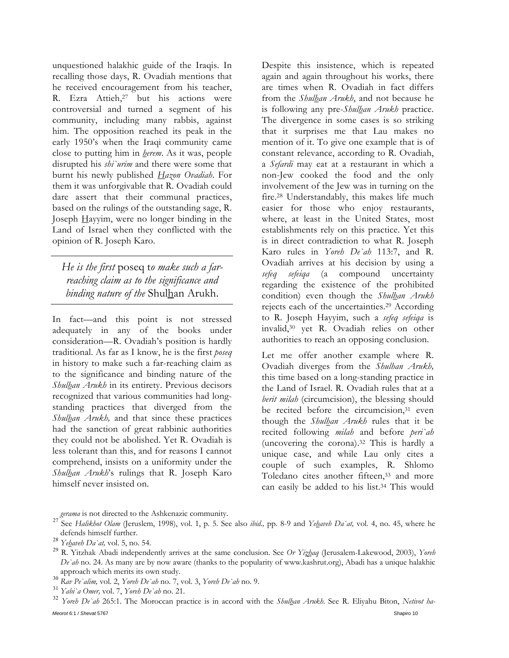unquestioned halakhic guide of the Iraqis. In recalling those days, R. Ovadiah mentions that he received encouragement from his teacher, R. Ezra Attieh,<sup>27</sup> but his actions were controversial and turned a segment of his community, including many rabbis, against him. The opposition reached its peak in the early 1950's when the Iraqi community came close to putting him in *herem*. As it was, people disrupted his *shi`urim* and there were some that burnt his newly published *Hazon Ovadiah*. For them it was unforgivable that R. Ovadiah could dare assert that their communal practices, based on the rulings of the outstanding sage, R. Joseph Hayyim, were no longer binding in the Land of Israel when they conflicted with the opinion of R. Joseph Karo.

*He is the first* poseq t*o make such a farreaching claim as to the significance and binding nature of the* Shulhan Arukh.

In fact—and this point is not stressed adequately in any of the books under consideration—R. Ovadiah's position is hardly traditional. As far as I know, he is the first *poseq* in history to make such a far-reaching claim as to the significance and binding nature of the *Shulhan Arukh* in its entirety. Previous decisors recognized that various communities had longstanding practices that diverged from the *Shulhan Arukh,* and that since these practices had the sanction of great rabbinic authorities they could not be abolished. Yet R. Ovadiah is less tolerant than this, and for reasons I cannot comprehend, insists on a uniformity under the *Shulhan Arukh*'s rulings that R. Joseph Karo himself never insisted on.

Despite this insistence, which is repeated again and again throughout his works, there are times when R. Ovadiah in fact differs from the *Shulhan Arukh*, and not because he is following any pre-*Shulhan Arukh* practice. The divergence in some cases is so striking that it surprises me that Lau makes no mention of it. To give one example that is of constant relevance, according to R. Ovadiah, a *Sefardi* may eat at a restaurant in which a non-Jew cooked the food and the only involvement of the Jew was in turning on the fire.28 Understandably, this makes life much easier for those who enjoy restaurants, where, at least in the United States, most establishments rely on this practice. Yet this is in direct contradiction to what R. Joseph Karo rules in *Yoreh De`ah* 113:7, and R. Ovadiah arrives at his decision by using a *sefeq sefeiqa* (a compound uncertainty regarding the existence of the prohibited condition) even though the *Shulhan Arukh* rejects each of the uncertainties.29 According to R. Joseph Hayyim, such a *sefeq sefeiqa* is invalid,30 yet R. Ovadiah relies on other authorities to reach an opposing conclusion.

Let me offer another example where R. Ovadiah diverges from the *Shulhan Arukh,* this time based on a long-standing practice in the Land of Israel. R. Ovadiah rules that at a *berit milah* (circumcision), the blessing should be recited before the circumcision,<sup>31</sup> even though the *Shulhan Arukh* rules that it be recited following *milah* and before *peri`ah* (uncovering the corona).32 This is hardly a unique case, and while Lau only cites a couple of such examples, R. Shlomo Toledano cites another fifteen,<sup>33</sup> and more can easily be added to his list.34 This would

*gerama* is not directed to the Ashkenazic community. <sup>27</sup> See *Halikhot Olam* (Jeruslem, 1998), vol. 1, p. 5. See also *ibid.,* pp. 8-9 and *Yehaveh Da`at,* vol. 4, no. 45, where he defends himself further.<br><sup>28</sup> *Ye<u>h</u>aveh Da`at,* vol. 5, no. 54.<br><sup>29</sup> R. Yitzhak Abadi independently arrives at the same conclusion. See *Or Yizhaq* (Jerusalem-Lakewood, 2003), *Yoreh* 

*De`ah* no. 24. As many are by now aware (thanks to the popularity of www.kashrut.org), Abadi has a unique halakhic

<sup>&</sup>lt;sup>30</sup> Rav Pe'alim, vol. 2, *Yoreh De'ah* no. 7, vol. 3, *Yoreh De'ah* no. 9.<br><sup>31</sup> Yabi'a Omer, vol. 7, *Yoreh De'ah* no. 21.<br><sup>32</sup> Yoreh De'ah 265:1. The Moroccan practice is in accord with the *Shulhan Arukh*. See R. Eliya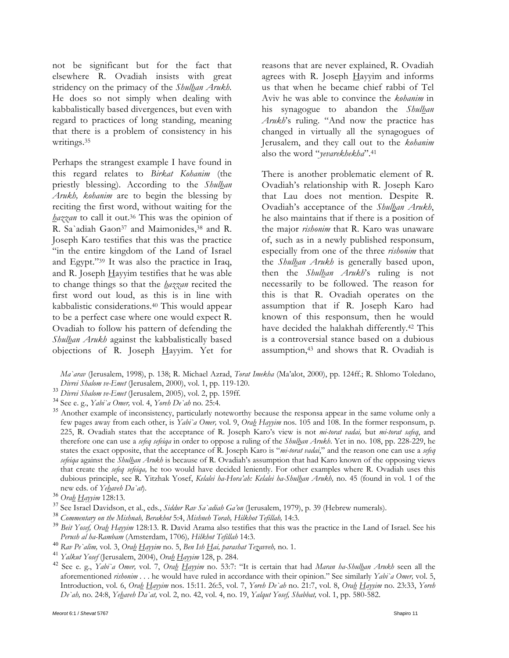not be significant but for the fact that elsewhere R. Ovadiah insists with great stridency on the primacy of the *Shulhan Arukh.*  He does so not simply when dealing with kabbalistically based divergences, but even with regard to practices of long standing, meaning that there is a problem of consistency in his writings.35

Perhaps the strangest example I have found in this regard relates to *Birkat Kohanim* (the priestly blessing). According to the *Shulhan Arukh, kohanim* are to begin the blessing by reciting the first word, without waiting for the *hazzan* to call it out.36 This was the opinion of R. Sa'adiah Gaon<sup>37</sup> and Maimonides,<sup>38</sup> and R. Joseph Karo testifies that this was the practice "in the entire kingdom of the Land of Israel and Egypt."39 It was also the practice in Iraq, and R. Joseph  $\frac{H}{y}$  and R. Joseph  $\frac{H}{y}$  and  $\frac{H}{y}$  are the was able to change things so that the *hazzan* recited the first word out loud, as this is in line with kabbalistic considerations.40 This would appear to be a perfect case where one would expect R. Ovadiah to follow his pattern of defending the *Shulhan Arukh* against the kabbalistically based objections of R. Joseph Hayyim. Yet for

reasons that are never explained, R. Ovadiah agrees with R. Joseph Hayyim and informs us that when he became chief rabbi of Tel Aviv he was able to convince the *kohanim* in his synagogue to abandon the *Shulhan Arukh*'s ruling. "And now the practice has changed in virtually all the synagogues of Jerusalem, and they call out to the *kohanim* also the word "*yevarekhekha*".41

There is another problematic element of R. Ovadiah's relationship with R. Joseph Karo that Lau does not mention. Despite R. Ovadiah's acceptance of the *Shulhan Arukh*, he also maintains that if there is a position of the major *rishonim* that R. Karo was unaware of, such as in a newly published responsum, especially from one of the three *rishonim* that the *Shulhan Arukh* is generally based upon, then the *Shulhan Arukh*'s ruling is not necessarily to be followed. The reason for this is that R. Ovadiah operates on the assumption that if R. Joseph Karo had known of this responsum, then he would have decided the halakhah differently.<sup>42</sup> This is a controversial stance based on a dubious assumption,43 and shows that R. Ovadiah is

*Ma`arav* (Jerusalem, 1998), p. 138; R. Michael Azrad, *Torat Imekha* (Ma'alot, 2000), pp. 124ff.; R. Shlomo Toledano,

- 
- 

<sup>33</sup> Divrei Shalom ve-Emet (Jerusalem, 2005), vol. 2, pp. 159ff.<br><sup>34</sup> See e. g., *Yabi`a Omer*, vol. 4, *Yoreh De`ah* no. 25:4.<br><sup>35</sup> Another example of inconsistency, particularly noteworthy because the responsa appear in few pages away from each other, is *Yabi`a Omer,* vol. 9, *Orah Hayyim* nos. 105 and 108. In the former responsum, p. 225, R. Ovadiah states that the acceptance of R. Joseph Karo's view is not *mi-torat vadai,* but *mi-torat safeq*, and therefore one can use a *sefeq sefeiqa* in order to oppose a ruling of the *Shulhan Arukh*. Yet in no. 108, pp. 228-229, he states the exact opposite, that the acceptance of R. Joseph Karo is "*mi-torat vadai*," and the reason one can use a *sefeq sefeiqa* against the *Shulhan Arukh* is because of R. Ovadiah's assumption that had Karo known of the opposing views that create the *sefeq sefeiqa,* he too would have decided leniently. For other examples where R. Ovadiah uses this dubious principle, see R. Yitzhak Yosef, *Kelalei ha-Hora'ah: Kelalei ha-Shulhan Arukh,* no. 45 (found in vol. 1 of the

- 
- 
- new eds. of *Yehaveh Da`at*).<br><sup>36</sup> Ora<u>h Hayyim</u> 128:13.<br><sup>37</sup> See Israel Davidson, et al., eds., *Siddur Rav Sa`adiah Ga'on* (Jerusalem, 1979), p. 39 (Hebrew numerals).<br><sup>37</sup> See Israel Davidson, et al., eds., *Siddur Rav S*
- 
- 
- <sup>40</sup> Rav Pe`alim, vol. 3, Ora<u>h Hayyim</u> no. 5, Ben Ish Hai, parashat Tezavveh, no. 1.<br><sup>41</sup> Yalkut Yosef (Jerusalem, 2004), Ora<u>h Hayyim</u> 128, p. 284.<br><sup>42</sup> See e. g., *Yahi`a Omer*, vol. 7, Orah Hayyim no. 53:7: "It is cer aforementioned *rishonim* . . . he would have ruled in accordance with their opinion." See similarly *Yabi`a Omer,* vol. 5, Introduction, vol. 6, *Orah Hayyim* nos. 15:11. 26:5, vol. 7, *Yoreh De`ah* no. 21:7, vol. 8, *Orah Hayyim* no. 23:33, *Yoreh De`ah,* no. 24:8, *Yehaveh Da`at,* vol. 2, no. 42, vol. 4, no. 19, *Yalqut Yosef, Shabbat,* vol. 1, pp. 580-582.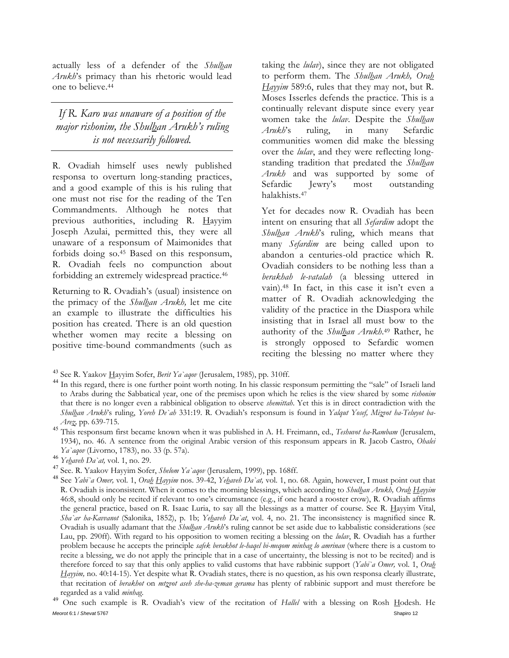actually less of a defender of the *Shulhan Arukh*'s primacy than his rhetoric would lead one to believe.44

*If R. Karo was unaware of a position of the major rishonim, the Shulhan Arukh's ruling is not necessarily followed.* 

R. Ovadiah himself uses newly published responsa to overturn long-standing practices, and a good example of this is his ruling that one must not rise for the reading of the Ten Commandments. Although he notes that previous authorities, including R. Hayyim Joseph Azulai, permitted this, they were all unaware of a responsum of Maimonides that forbids doing so.45 Based on this responsum, R. Ovadiah feels no compunction about forbidding an extremely widespread practice.46

Returning to R. Ovadiah's (usual) insistence on the primacy of the *Shulhan Arukh,* let me cite an example to illustrate the difficulties his position has created. There is an old question whether women may recite a blessing on positive time-bound commandments (such as

taking the *lulav*), since they are not obligated to perform them. The *Shulhan Arukh, Orah Hayyim* 589:6, rules that they may not, but R. Moses Isserles defends the practice. This is a continually relevant dispute since every year women take the *lulav*. Despite the *Shulhan Arukh*'s ruling, in many Sefardic communities women did make the blessing over the *lulav*, and they were reflecting longstanding tradition that predated the *Shulhan Arukh* and was supported by some of Sefardic Jewry's most outstanding halakhists.47

Yet for decades now R. Ovadiah has been intent on ensuring that all *Sefardim* adopt the *Shulhan Arukh*'s ruling, which means that many *Sefardim* are being called upon to abandon a centuries-old practice which R. Ovadiah considers to be nothing less than a *berakhah le-vatalah* (a blessing uttered in vain).48 In fact, in this case it isn't even a matter of R. Ovadiah acknowledging the validity of the practice in the Diaspora while insisting that in Israel all must bow to the authority of the *Shulhan Arukh*.49 Rather, he is strongly opposed to Sefardic women reciting the blessing no matter where they

*Arez,* pp. 639-715. <sup>45</sup> This responsum first became known when it was published in A. H. Freimann, ed., *Teshuvot ha-Rambam* (Jerusalem, 1934), no. 46. A sentence from the original Arabic version of this responsum appears in R. Jacob Castro, *Ohalei Ya`aqov* (Livorno, 1783), no. 33 (p. 57a).<br><sup>46</sup> *Ye<u>b</u>aveb Da`at,* vol. 1, no. 29.<br><sup>47</sup> See. R. Yaakov Hayyim Sofer, *Shelom Ya`aqov* (Jerusalem, 1999), pp. 168ff.<br><sup>48</sup> See *Yabi`a Omer*, vol. 1, *Ora<u>b</u> Hayyim* nos. 39-4

*Meorot* 6:1 / *Shevat* 5767 Shapiro 12 One such example is R. Ovadiah's view of the recitation of *Hallel* with a blessing on Rosh Hodesh. He

<sup>&</sup>lt;sup>43</sup> See R. Yaakov Hayyim Sofer, *Berit Ya`aqov* (Jerusalem, 1985), pp. 310ff.<br><sup>44</sup> In this regard, there is one further point worth noting. In his classic responsum permitting the "sale" of Israeli land to Arabs during the Sabbatical year, one of the premises upon which he relies is the view shared by some *rishonim* that there is no longer even a rabbinical obligation to observe *shemittah*. Yet this is in direct contradiction with the *Shulhan Arukh*'s ruling, *Yoreh De`ah* 331:19. R. Ovadiah's responsum is found in *Yalqut Yosef, Mizvot ha-Teluyot ba-*

R. Ovadiah is inconsistent. When it comes to the morning blessings, which according to *Shulhan Arukh, Orah Hayyim*  46:8, should only be recited if relevant to one's circumstance (e.g., if one heard a rooster crow), R. Ovadiah affirms the general practice, based on R. Isaac Luria, to say all the blessings as a matter of course. See R. Hayyim Vital, *Sha`ar ha-Kavvanot* (Salonika, 1852), p. 1b; *Yehaveh Da`at*, vol. 4, no. 21. The inconsistency is magnified since R. Ovadiah is usually adamant that the *Shulhan Arukh*'s ruling cannot be set aside due to kabbalistic considerations (see Lau, pp. 290ff). With regard to his opposition to women reciting a blessing on the *lulav*, R. Ovadiah has a further problem because he accepts the principle *safek berakhot le-haqel bi-meqom minhag lo amrinan* (where there is a custom to recite a blessing, we do not apply the principle that in a case of uncertainty, the blessing is not to be recited) and is therefore forced to say that this only applies to valid customs that have rabbinic support (*Yabi`a Omer,* vol. 1, *Orah Hayyim,* no. 40:14-15). Yet despite what R. Ovadiah states, there is no question, as his own responsa clearly illustrate, that recitation of *berakhot* on *mtzvot aseh she-ha-zeman gerama* has plenty of rabbinic support and must therefore be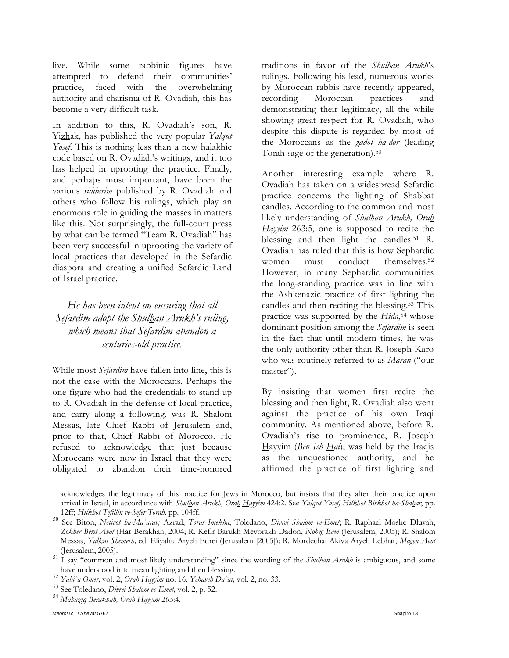live. While some rabbinic figures have attempted to defend their communities' practice, faced with the overwhelming authority and charisma of R. Ovadiah, this has become a very difficult task.

In addition to this, R. Ovadiah's son, R. Yizhak, has published the very popular *Yalqut Yosef*. This is nothing less than a new halakhic code based on R. Ovadiah's writings, and it too has helped in uprooting the practice. Finally, and perhaps most important, have been the various *siddurim* published by R. Ovadiah and others who follow his rulings, which play an enormous role in guiding the masses in matters like this. Not surprisingly, the full-court press by what can be termed "Team R. Ovadiah" has been very successful in uprooting the variety of local practices that developed in the Sefardic diaspora and creating a unified Sefardic Land of Israel practice.

*He has been intent on ensuring that all Sefardim adopt the Shulhan Arukh's ruling, which means that Sefardim abandon a centuries-old practice.* 

While most *Sefardim* have fallen into line, this is not the case with the Moroccans. Perhaps the one figure who had the credentials to stand up to R. Ovadiah in the defense of local practice, and carry along a following, was R. Shalom Messas, late Chief Rabbi of Jerusalem and, prior to that, Chief Rabbi of Morocco. He refused to acknowledge that just because Moroccans were now in Israel that they were obligated to abandon their time-honored

traditions in favor of the *Shulhan Arukh*'s rulings. Following his lead, numerous works by Moroccan rabbis have recently appeared, recording Moroccan practices and demonstrating their legitimacy, all the while showing great respect for R. Ovadiah, who despite this dispute is regarded by most of the Moroccans as the *gadol ha-dor* (leading Torah sage of the generation).50

Another interesting example where R. Ovadiah has taken on a widespread Sefardic practice concerns the lighting of Shabbat candles. According to the common and most likely understanding of *Shulhan Arukh, Orah Hayyim* 263:5, one is supposed to recite the blessing and then light the candles.<sup>51</sup> R. Ovadiah has ruled that this is how Sephardic women must conduct themselves.<sup>52</sup> However, in many Sephardic communities the long-standing practice was in line with the Ashkenazic practice of first lighting the candles and then reciting the blessing.53 This practice was supported by the  $Hida$ <sup>54</sup> whose dominant position among the *Sefardim* is seen in the fact that until modern times, he was the only authority other than R. Joseph Karo who was routinely referred to as *Maran* ("our master").

By insisting that women first recite the blessing and then light, R. Ovadiah also went against the practice of his own Iraqi community. As mentioned above, before R. Ovadiah's rise to prominence, R. Joseph Hayyim (*Ben Ish Hai*), was held by the Iraqis as the unquestioned authority, and he affirmed the practice of first lighting and

acknowledges the legitimacy of this practice for Jews in Morocco, but insists that they alter their practice upon arrival in Israel, in accordance with *Shulhan Arukh, Orah Hayyim* 424:2. See *Yalqut Yosef, Hilkhot Birkhot ha-Shahar*, pp.

<sup>12</sup>ff; *Hilkhot Tefillin ve-Sefer Torah,* pp. 104ff. <sup>50</sup> See Biton, *Netivot ha-Ma`arav;* Azrad, *Torat Imekha*; Toledano, *Divrei Shalom ve-Emet*; R. Raphael Moshe Dluyah, *Zokher Berit Avot* (Har Berakhah, 2004; R. Kefir Barukh Mevorakh Dadon, *Noheg Bam* (Jerusalem, 2005); R. Shalom Messas, *Yalkut Shemesh,* ed. Eliyahu Aryeh Edrei (Jerusalem [2005]); R. Mordechai Akiva Aryeh Lebhar, *Magen Avot*

<sup>(</sup>Jerusalem, 2005). <sup>51</sup> I say "common and most likely understanding" since the wording of the *Shulhan Arukh* is ambiguous, and some

have understood ir to mean lighting and then blessing.<br><sup>52</sup> *Yabi`a Omer*, vol. 2, *Ora<u>h</u> Hayyim* no. 16, *Yehaveh Da`at*, vol. 2, no. 33.<br><sup>53</sup> See Toledano, *Divrei Shalom ve-Emet*, vol. 2, p. 52.<br><sup>54</sup> *Ma<u>h</u>aziq Berakha*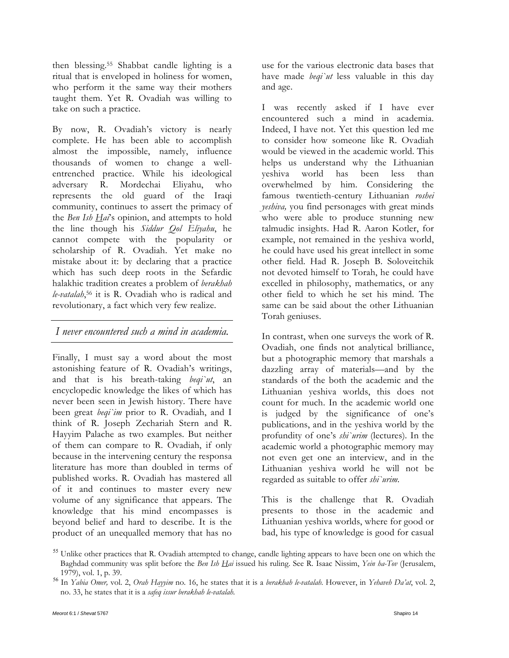then blessing.55 Shabbat candle lighting is a ritual that is enveloped in holiness for women, who perform it the same way their mothers taught them. Yet R. Ovadiah was willing to take on such a practice.

By now, R. Ovadiah's victory is nearly complete. He has been able to accomplish almost the impossible, namely, influence thousands of women to change a wellentrenched practice. While his ideological adversary R. Mordechai Eliyahu, who represents the old guard of the Iraqi community, continues to assert the primacy of the *Ben Ish Hai*'s opinion, and attempts to hold the line though his *Siddur Qol Eliyahu*, he cannot compete with the popularity or scholarship of R. Ovadiah. Yet make no mistake about it: by declaring that a practice which has such deep roots in the Sefardic halakhic tradition creates a problem of *berakhah le-vatalah*,56 it is R. Ovadiah who is radical and revolutionary, a fact which very few realize.

#### *I never encountered such a mind in academia.*

Finally, I must say a word about the most astonishing feature of R. Ovadiah's writings, and that is his breath-taking *beqi`ut*, an encyclopedic knowledge the likes of which has never been seen in Jewish history. There have been great *beqi`im* prior to R. Ovadiah, and I think of R. Joseph Zechariah Stern and R. Hayyim Palache as two examples. But neither of them can compare to R. Ovadiah, if only because in the intervening century the responsa literature has more than doubled in terms of published works. R. Ovadiah has mastered all of it and continues to master every new volume of any significance that appears. The knowledge that his mind encompasses is beyond belief and hard to describe. It is the product of an unequalled memory that has no

use for the various electronic data bases that have made *beqi`ut* less valuable in this day and age.

I was recently asked if I have ever encountered such a mind in academia. Indeed, I have not. Yet this question led me to consider how someone like R. Ovadiah would be viewed in the academic world. This helps us understand why the Lithuanian yeshiva world has been less than overwhelmed by him. Considering the famous twentieth-century Lithuanian *roshei yeshiva,* you find personages with great minds who were able to produce stunning new talmudic insights. Had R. Aaron Kotler, for example, not remained in the yeshiva world, he could have used his great intellect in some other field. Had R. Joseph B. Soloveitchik not devoted himself to Torah, he could have excelled in philosophy, mathematics, or any other field to which he set his mind. The same can be said about the other Lithuanian Torah geniuses.

In contrast, when one surveys the work of R. Ovadiah, one finds not analytical brilliance, but a photographic memory that marshals a dazzling array of materials—and by the standards of the both the academic and the Lithuanian yeshiva worlds, this does not count for much. In the academic world one is judged by the significance of one's publications, and in the yeshiva world by the profundity of one's *shi`urim* (lectures)*.* In the academic world a photographic memory may not even get one an interview, and in the Lithuanian yeshiva world he will not be regarded as suitable to offer *shi`urim.* 

This is the challenge that R. Ovadiah presents to those in the academic and Lithuanian yeshiva worlds, where for good or bad, his type of knowledge is good for casual

<sup>&</sup>lt;sup>55</sup> Unlike other practices that R. Ovadiah attempted to change, candle lighting appears to have been one on which the Baghdad community was split before the *Ben Ish Hai* issued his ruling. See R. Isaac Nissim, *Yein ha-Tov* (Jerusalem,

<sup>1979),</sup> vol. 1, p. 39. <sup>56</sup> In *Yabia Omer,* vol. 2, *Orah Hayyim* no. 16, he states that it is a *berakhah le-vatalah.* However, in *Yehaveh Da'at*, vol. 2, no. 33, he states that it is a *safeq issur berakhah le-vatalah.*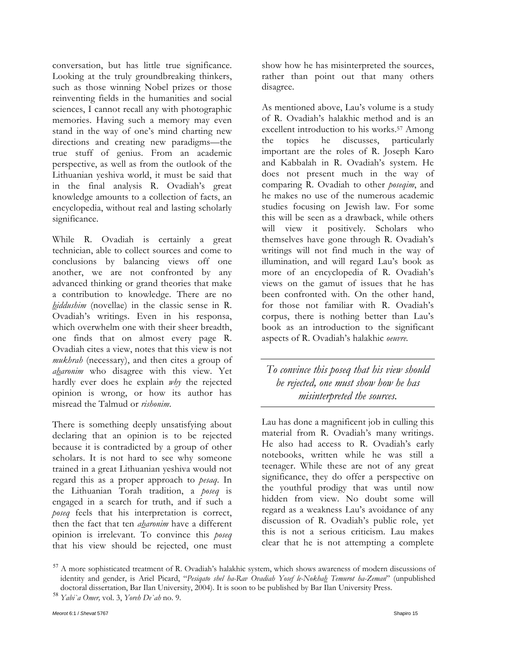conversation, but has little true significance. Looking at the truly groundbreaking thinkers, such as those winning Nobel prizes or those reinventing fields in the humanities and social sciences, I cannot recall any with photographic memories. Having such a memory may even stand in the way of one's mind charting new directions and creating new paradigms—the true stuff of genius. From an academic perspective, as well as from the outlook of the Lithuanian yeshiva world, it must be said that in the final analysis R. Ovadiah's great knowledge amounts to a collection of facts, an encyclopedia, without real and lasting scholarly significance.

While R. Ovadiah is certainly a great technician, able to collect sources and come to conclusions by balancing views off one another, we are not confronted by any advanced thinking or grand theories that make a contribution to knowledge. There are no *hiddushim* (novellae) in the classic sense in R. Ovadiah's writings. Even in his responsa, which overwhelm one with their sheer breadth, one finds that on almost every page R. Ovadiah cites a view, notes that this view is not *mukhrah* (necessary), and then cites a group of *aharonim* who disagree with this view. Yet hardly ever does he explain *why* the rejected opinion is wrong, or how its author has misread the Talmud or *rishonim*.

There is something deeply unsatisfying about declaring that an opinion is to be rejected because it is contradicted by a group of other scholars. It is not hard to see why someone trained in a great Lithuanian yeshiva would not regard this as a proper approach to *pesaq*. In the Lithuanian Torah tradition, a *poseq* is engaged in a search for truth, and if such a *poseq* feels that his interpretation is correct, then the fact that ten *aharonim* have a different opinion is irrelevant. To convince this *poseq* that his view should be rejected, one must

show how he has misinterpreted the sources, rather than point out that many others disagree.

As mentioned above, Lau's volume is a study of R. Ovadiah's halakhic method and is an excellent introduction to his works.57 Among the topics he discusses, particularly important are the roles of R. Joseph Karo and Kabbalah in R. Ovadiah's system. He does not present much in the way of comparing R. Ovadiah to other *poseqim*, and he makes no use of the numerous academic studies focusing on Jewish law. For some this will be seen as a drawback, while others will view it positively. Scholars who themselves have gone through R. Ovadiah's writings will not find much in the way of illumination, and will regard Lau's book as more of an encyclopedia of R. Ovadiah's views on the gamut of issues that he has been confronted with. On the other hand, for those not familiar with R. Ovadiah's corpus, there is nothing better than Lau's book as an introduction to the significant aspects of R. Ovadiah's halakhic *oeuvre.* 

*To convince this poseq that his view should be rejected, one must show how he has misinterpreted the sources.* 

Lau has done a magnificent job in culling this material from R. Ovadiah's many writings. He also had access to R. Ovadiah's early notebooks, written while he was still a teenager. While these are not of any great significance, they do offer a perspective on the youthful prodigy that was until now hidden from view. No doubt some will regard as a weakness Lau's avoidance of any discussion of R. Ovadiah's public role, yet this is not a serious criticism. Lau makes clear that he is not attempting a complete

<sup>&</sup>lt;sup>57</sup> A more sophisticated treatment of R. Ovadiah's halakhic system, which shows awareness of modern discussions of identity and gender, is Ariel Picard, "*Pesiqato shel ha-Rav Ovadiah Yosef le-Nokhah Temurot ha-Zeman*" (unpublished doctoral dissertation, Bar Ilan University, 2004). It is soon to be published by Bar Ilan University Press. <sup>58</sup> *Yabi`a Omer,* vol. 3, *Yoreh De`ah* no. 9.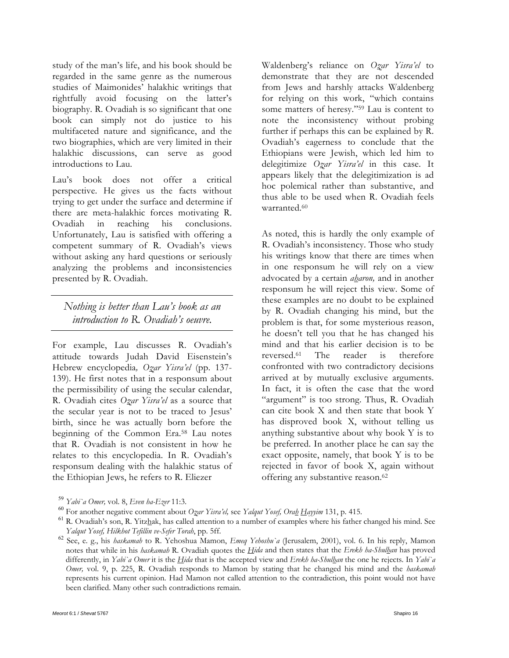study of the man's life, and his book should be regarded in the same genre as the numerous studies of Maimonides' halakhic writings that rightfully avoid focusing on the latter's biography. R. Ovadiah is so significant that one book can simply not do justice to his multifaceted nature and significance, and the two biographies, which are very limited in their halakhic discussions, can serve as good introductions to Lau.

Lau's book does not offer a critical perspective. He gives us the facts without trying to get under the surface and determine if there are meta-halakhic forces motivating R. Ovadiah in reaching his conclusions. Unfortunately, Lau is satisfied with offering a competent summary of R. Ovadiah's views without asking any hard questions or seriously analyzing the problems and inconsistencies presented by R. Ovadiah.

*Nothing is better than Lau's book as an introduction to R. Ovadiah's oeuvre.* 

For example, Lau discusses R. Ovadiah's attitude towards Judah David Eisenstein's Hebrew encyclopedia*, Ozar Yisra'el* (pp. 137- 139). He first notes that in a responsum about the permissibility of using the secular calendar, R. Ovadiah cites *Ozar Yisra'el* as a source that the secular year is not to be traced to Jesus' birth, since he was actually born before the beginning of the Common Era.58 Lau notes that R. Ovadiah is not consistent in how he relates to this encyclopedia. In R. Ovadiah's responsum dealing with the halakhic status of the Ethiopian Jews, he refers to R. Eliezer

Waldenberg's reliance on *Ozar Yisra'el* to demonstrate that they are not descended from Jews and harshly attacks Waldenberg for relying on this work, "which contains some matters of heresy."59 Lau is content to note the inconsistency without probing further if perhaps this can be explained by R. Ovadiah's eagerness to conclude that the Ethiopians were Jewish, which led him to delegitimize *Ozar Yisra'el* in this case. It appears likely that the delegitimization is ad hoc polemical rather than substantive, and thus able to be used when R. Ovadiah feels warranted.60

As noted, this is hardly the only example of R. Ovadiah's inconsistency. Those who study his writings know that there are times when in one responsum he will rely on a view advocated by a certain *aharon,* and in another responsum he will reject this view. Some of these examples are no doubt to be explained by R. Ovadiah changing his mind, but the problem is that, for some mysterious reason, he doesn't tell you that he has changed his mind and that his earlier decision is to be reversed.61 The reader is therefore confronted with two contradictory decisions arrived at by mutually exclusive arguments. In fact, it is often the case that the word "argument" is too strong. Thus, R. Ovadiah can cite book X and then state that book Y has disproved book X, without telling us anything substantive about why book Y is to be preferred. In another place he can say the exact opposite, namely, that book Y is to be rejected in favor of book X, again without offering any substantive reason.62

<sup>&</sup>lt;sup>59</sup> Yabi'a Omer, vol. 8, Even ha-Ezer 11:3.<br><sup>60</sup> For another negative comment about Ozar Yisra'el, see Yalqut Yosef, Ora<u>h H</u>ayyim 131, p. 415.<br><sup>60</sup> R. Ovadiah's son, R. Yitz<u>h</u>ak, has called attention to a number of exa

*Yalqut Yosef, Hilkhot Tefillin ve-Sefer Torah*, pp. 5ff. <sup>62</sup> See, e. g., his *haskamah* to R. Yehoshua Mamon, *Emeq Yehoshu`a* (Jerusalem, 2001), vol. 6. In his reply, Mamon notes that while in his *haskamah* R. Ovadiah quotes the *Hida* and then states that the *Erekh ha-Shulhan* has proved differently, in *Yabi`a Omer* it is the *Hida* that is the accepted view and *Erekh ha-Shulhan* the one he rejects. In *Yabi`a Omer,* vol. 9, p. 225, R. Ovadiah responds to Mamon by stating that he changed his mind and the *haskamah* represents his current opinion. Had Mamon not called attention to the contradiction, this point would not have been clarified. Many other such contradictions remain.